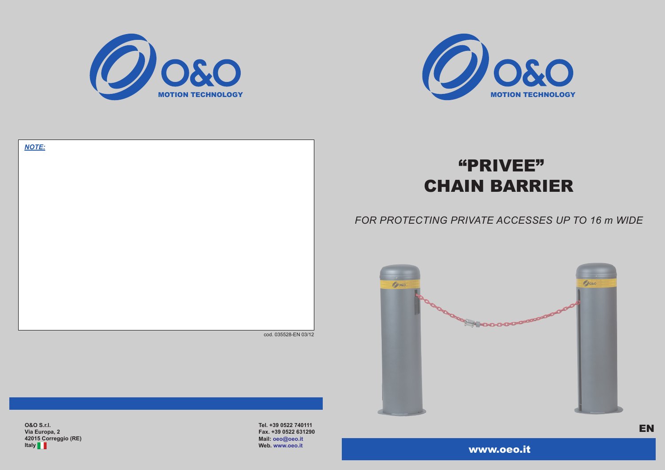

**O&O S.r.l. Via Europa, 2 42015 Correggio (RE) Italy**

**Tel. +39 0522 740111 Fax. +39 0522 631290 Mail: oeo@oeo.it Web. www.oeo.it** 



# "PRIVEE" CHAIN BARRIER

| <b>NOTE:</b> |                      |
|--------------|----------------------|
|              |                      |
|              |                      |
|              |                      |
|              |                      |
|              |                      |
|              |                      |
|              |                      |
|              |                      |
|              |                      |
|              |                      |
|              |                      |
|              |                      |
|              |                      |
|              |                      |
|              |                      |
|              |                      |
|              |                      |
|              |                      |
|              |                      |
|              |                      |
|              |                      |
|              | cod. 035528-EN 03/12 |

## *FOR PROTECTING PRIVATE ACCESSES UP TO 16 m WIDE*